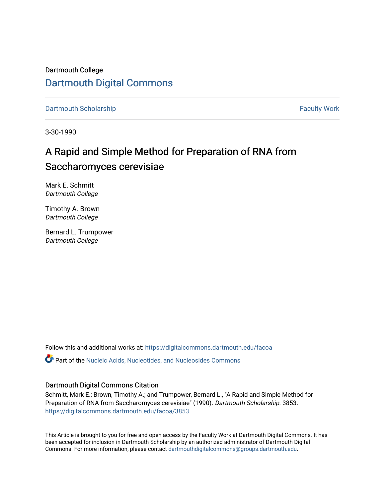Dartmouth College [Dartmouth Digital Commons](https://digitalcommons.dartmouth.edu/) 

[Dartmouth Scholarship](https://digitalcommons.dartmouth.edu/facoa) Faculty Work

3-30-1990

# A Rapid and Simple Method for Preparation of RNA from Saccharomyces cerevisiae

Mark E. Schmitt Dartmouth College

Timothy A. Brown Dartmouth College

Bernard L. Trumpower Dartmouth College

Follow this and additional works at: [https://digitalcommons.dartmouth.edu/facoa](https://digitalcommons.dartmouth.edu/facoa?utm_source=digitalcommons.dartmouth.edu%2Ffacoa%2F3853&utm_medium=PDF&utm_campaign=PDFCoverPages)

Part of the [Nucleic Acids, Nucleotides, and Nucleosides Commons](http://network.bepress.com/hgg/discipline/935?utm_source=digitalcommons.dartmouth.edu%2Ffacoa%2F3853&utm_medium=PDF&utm_campaign=PDFCoverPages) 

## Dartmouth Digital Commons Citation

Schmitt, Mark E.; Brown, Timothy A.; and Trumpower, Bernard L., "A Rapid and Simple Method for Preparation of RNA from Saccharomyces cerevisiae" (1990). Dartmouth Scholarship. 3853. [https://digitalcommons.dartmouth.edu/facoa/3853](https://digitalcommons.dartmouth.edu/facoa/3853?utm_source=digitalcommons.dartmouth.edu%2Ffacoa%2F3853&utm_medium=PDF&utm_campaign=PDFCoverPages) 

This Article is brought to you for free and open access by the Faculty Work at Dartmouth Digital Commons. It has been accepted for inclusion in Dartmouth Scholarship by an authorized administrator of Dartmouth Digital Commons. For more information, please contact [dartmouthdigitalcommons@groups.dartmouth.edu](mailto:dartmouthdigitalcommons@groups.dartmouth.edu).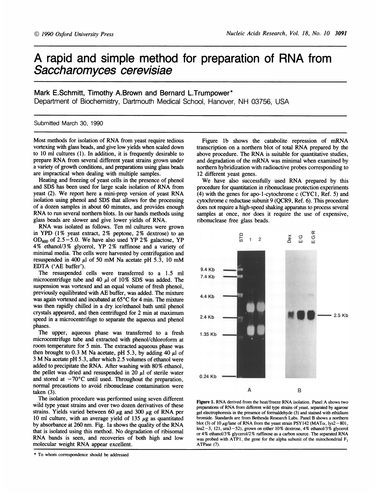## A rapid and simple method for preparation of RNA from Saccharomyces cerevisiae

### Mark E.Schmitt, Timothy A.Brown and Bernard L.Trumpower\*

Department of Biochemistry, Dartmouth Medical School, Hanover, NH 03756, USA

#### Submitted March 30, 1990

Most methods for isolation of RNA from yeast require tedious vortexing with glass beads, and give low yields when scaled down to 10 ml cultures (1). In addition, it is frequently desirable to prepare RNA from several different yeast strains grown under a variety of growth conditions, and preparations using glass beads are impractical when dealing with multiple samples.

Heating and freezing of yeast cells in the presence of phenol and SDS has been used for large scale isolation of RNA from yeast (2). We report here <sup>a</sup> mini-prep version of yeast RNA isolation using phenol and SDS that allows for the processing of a dozen samples in about 60 minutes, and provides enough RNA to run several northern blots. In our hands methods using glass beads are slower and give lower yields of RNA.

RNA was isolated as follows. Ten ml cultures were grown in YPD (1% yeast extract, 2% peptone, 2% dextrose) to an OD<sub>600</sub> of 2.5-5.0. We have also used YP 2% galactose, YP 4% ethanol/3 % glycerol, YP 2% raffinose and <sup>a</sup> variety of minimal media. The cells were harvested by centrifugation and resuspended in 400  $\mu$ l of 50 mM Na acetate pH 5.3, 10 mM EDTA ('AE buffer').

The resuspended cells were transferred to a 1.5 ml microcentrifuge tube and 40  $\mu$ l of 10% SDS was added. The suspension was vortexed and an equal volume of fresh phenol, previously equilibrated with AE buffer, was added. The mixture was again vortexed and incubated at 65°C for 4 min. The mixture was then rapidly chilled in a dry ice/ethanol bath until phenol crystals appeared, and then centrifuged for 2 min at maximum speed in a microcentrifuge to separate the aqueous and phenol phases.

The upper, aqueous phase was transferred to a fresh microcentrifuge tube and extracted with phenol/chloroform at room temperature for 5 min. The extracted aqueous phase was then brought to 0.3 M Na acetate, pH 5.3, by adding 40  $\mu$ l of <sup>3</sup> M Na acetate pH 5.3, after which 2.5 volumes of ethanol were added to precipitate the RNA. After washing with 80% ethanol, the pellet was dried and resuspended in 20  $\mu$ l of sterile water and stored at  $-70^{\circ}$ C until used. Throughout the preparation, normal precautions to avoid ribonuclease contamination were taken (3).

The isolation procedure was performed using seven different wild type yeast strains and over two dozen derivatives of these strains. Yields varied between 60  $\mu$ g and 300  $\mu$ g of RNA per 10 ml culture, with an average yield of 135  $\mu$ g as quantitated by absorbance at 260 nm. Fig. la shows the quality of the RNA that is isolated using this method. No degradation of ribisomal RNA bands is seen, and recoveries of both high and low molecular weight RNA appear excellent.

\* To whom correspondence should be addressed

Figure lb shows the catabolite repression of mRNA transcription on <sup>a</sup> northern blot of total RNA prepared by the above procedure. The RNA is suitable for quantitative studies, and degradation of the mRNA was minimal when examined by northern hybridization with radioactive probes corresponding to 12 different yeast genes.

We have also successfully used RNA prepared by this procedure for quantitation in ribonuclease protection experiments (4) with the genes for apo-l-cytochrome c (CYC1, Ref. 5) and cytochrome c reductase subunit 9 (QCR9, Ref. 6). This procedure does not require a high-speed shaking apparatus to process several samples at once, nor does it require the use of expensive, ribonuclease free glass beads.



Figure 1. RNA derived from the heat/freeze RNA isolation. Panel A shows two preparations of RNA from different wild type strains of yeast, separated by agarose gel electrophoresis in the presence of formaldehyde (3) and stained with ethidium bromide. Standards are from Bethesda Research Labs. Panel B shows a northern blot (3) of 10  $\mu$ g/lane of RNA from the yeast strain PSY142 (MAT $\alpha$ , lys2-801, leu2-3, 121, ura3-52), grown on either 10% dextrose, 4% ethanol/3% glycerol or 4% ethanol/3 % glycerol/2 % raffinose as <sup>a</sup> carbon source. The separated RNA was probed with ATP1, the gene for the alpha subunit of the mitochondrial  $F_1$ ATPase (7).